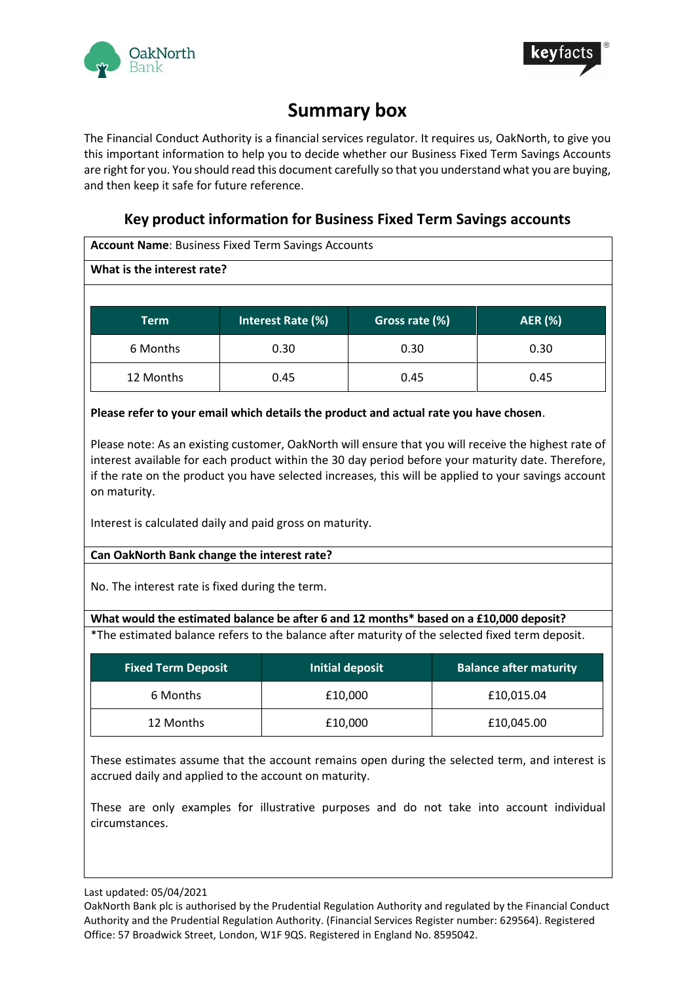



# **Summary box**

The Financial Conduct Authority is a financial services regulator. It requires us, OakNorth, to give you this important information to help you to decide whether our Business Fixed Term Savings Accounts are right for you. You should read this document carefully so that you understand what you are buying, and then keep it safe for future reference.

# **Key product information for Business Fixed Term Savings accounts**

| <b>Account Name: Business Fixed Term Savings Accounts</b> |                   |                |                |  |
|-----------------------------------------------------------|-------------------|----------------|----------------|--|
| What is the interest rate?                                |                   |                |                |  |
|                                                           |                   |                |                |  |
| <b>Term</b>                                               | Interest Rate (%) | Gross rate (%) | <b>AER</b> (%) |  |
| 6 Months                                                  | 0.30              | 0.30           | 0.30           |  |
| 12 Months                                                 | 0.45              | 0.45           | 0.45           |  |
|                                                           |                   |                |                |  |

**Please refer to your email which details the product and actual rate you have chosen**.

Please note: As an existing customer, OakNorth will ensure that you will receive the highest rate of interest available for each product within the 30 day period before your maturity date. Therefore, if the rate on the product you have selected increases, this will be applied to your savings account on maturity.

Interest is calculated daily and paid gross on maturity.

# **Can OakNorth Bank change the interest rate?**

No. The interest rate is fixed during the term.

# **What would the estimated balance be after 6 and 12 months\* based on a £10,000 deposit?**

\*The estimated balance refers to the balance after maturity of the selected fixed term deposit.

| <b>Fixed Term Deposit</b> | Initial deposit | <b>Balance after maturity</b> |
|---------------------------|-----------------|-------------------------------|
| 6 Months                  | £10,000         | £10,015.04                    |
| 12 Months                 | £10,000         | £10,045.00                    |

These estimates assume that the account remains open during the selected term, and interest is accrued daily and applied to the account on maturity.

These are only examples for illustrative purposes and do not take into account individual circumstances.

Last updated: 05/04/2021

OakNorth Bank plc is authorised by the Prudential Regulation Authority and regulated by the Financial Conduct Authority and the Prudential Regulation Authority. (Financial Services Register number: 629564). Registered Office: 57 Broadwick Street, London, W1F 9QS. Registered in England No. 8595042.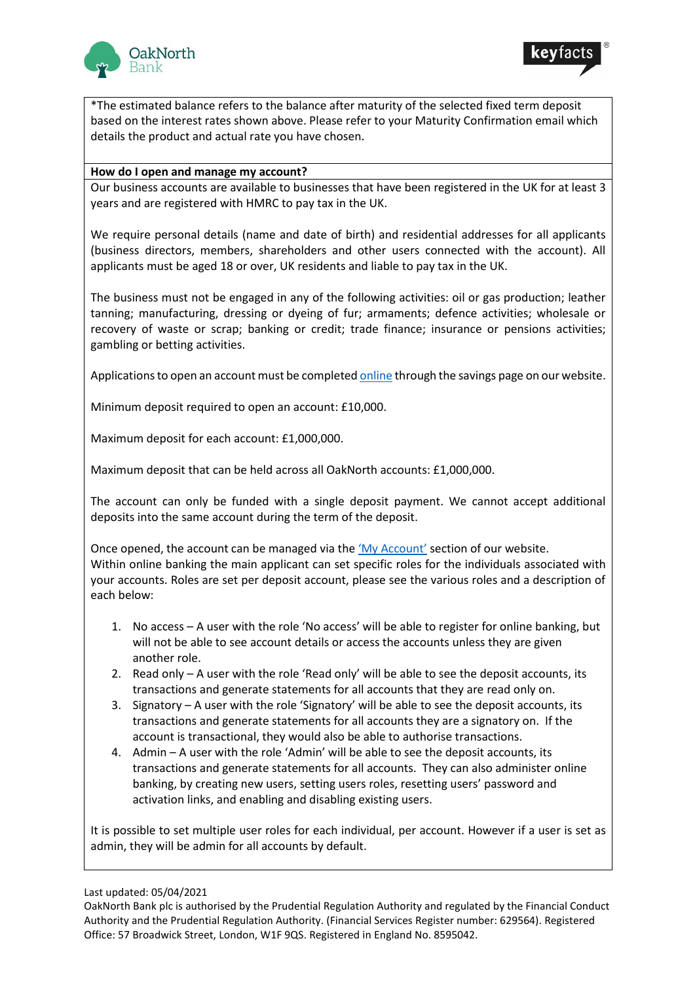



\*The estimated balance refers to the balance after maturity of the selected fixed term deposit based on the interest rates shown above. Please refer to your Maturity Confirmation email which details the product and actual rate you have chosen.

### **How do I open and manage my account?**

Our business accounts are available to businesses that have been registered in the UK for at least 3 years and are registered with HMRC to pay tax in the UK.

We require personal details (name and date of birth) and residential addresses for all applicants (business directors, members, shareholders and other users connected with the account). All applicants must be aged 18 or over, UK residents and liable to pay tax in the UK.

The business must not be engaged in any of the following activities: oil or gas production; leather tanning; manufacturing, dressing or dyeing of fur; armaments; defence activities; wholesale or recovery of waste or scrap; banking or credit; trade finance; insurance or pensions activities; gambling or betting activities.

Applications to open an account must be complete[d online](https://www.oaknorth.co.uk/savings/business-savings/business-deposit/) through the savings page on our website.

Minimum deposit required to open an account: £10,000.

Maximum deposit for each account: £1,000,000.

Maximum deposit that can be held across all OakNorth accounts: £1,000,000.

The account can only be funded with a single deposit payment. We cannot accept additional deposits into the same account during the term of the deposit.

Once opened, the account can be managed via the '[My Account](https://www.online.oaknorth.co.uk/)' section of our website. Within online banking the main applicant can set specific roles for the individuals associated with your accounts. Roles are set per deposit account, please see the various roles and a description of each below:

- 1. No access A user with the role 'No access' will be able to register for online banking, but will not be able to see account details or access the accounts unless they are given another role.
- 2. Read only A user with the role 'Read only' will be able to see the deposit accounts, its transactions and generate statements for all accounts that they are read only on.
- 3. Signatory A user with the role 'Signatory' will be able to see the deposit accounts, its transactions and generate statements for all accounts they are a signatory on. If the account is transactional, they would also be able to authorise transactions.
- 4. Admin A user with the role 'Admin' will be able to see the deposit accounts, its transactions and generate statements for all accounts. They can also administer online banking, by creating new users, setting users roles, resetting users' password and activation links, and enabling and disabling existing users.

It is possible to set multiple user roles for each individual, per account. However if a user is set as admin, they will be admin for all accounts by default.

Last updated: 05/04/2021

OakNorth Bank plc is authorised by the Prudential Regulation Authority and regulated by the Financial Conduct Authority and the Prudential Regulation Authority. (Financial Services Register number: 629564). Registered Office: 57 Broadwick Street, London, W1F 9QS. Registered in England No. 8595042.